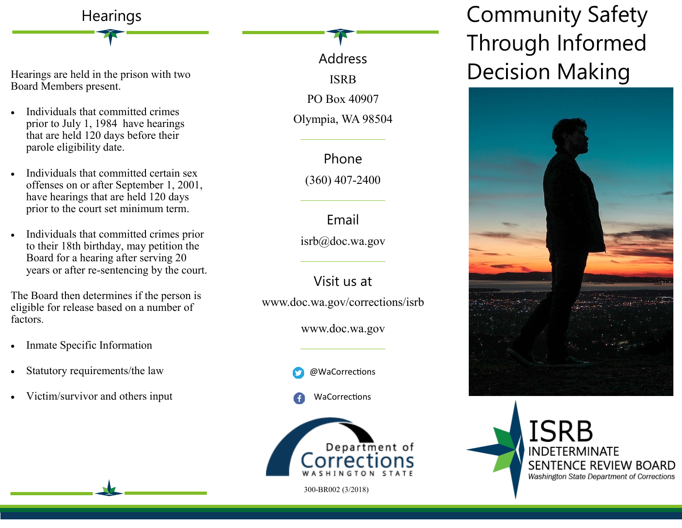## Hearings are held in the prison with two Board Members present.

**Hearings** 

- Individuals that committed crimes prior to July 1, 1984 have hearings that are held 120 days before their parole eligibility date.
- Individuals that committed certain sex offenses on or after September 1, 2001, have hearings that are held 120 days prior to the court set minimum term.
- Individuals that committed crimes prior to their 18th birthday, may petition the Board for a hearing after serving 20 years or after re-sentencing by the court.

The Board then determines if the person is eligible for release based on a number of factors.

- Inmate Specific Information
- Statutory requirements/the law
- Victim/survivor and others input

Address ISRB PO Box 40907 Olympia, WA 98504 ——————— Phone

(360) 407-2400

———————

Email isrb@doc.wa.gov

Visit us at

———————

www.doc.wa.gov/corrections/isrb

www.doc.wa.gov

———————



WaCorrections



300-BR002 (3/2018)

Community Safety Through Informed Decision Making